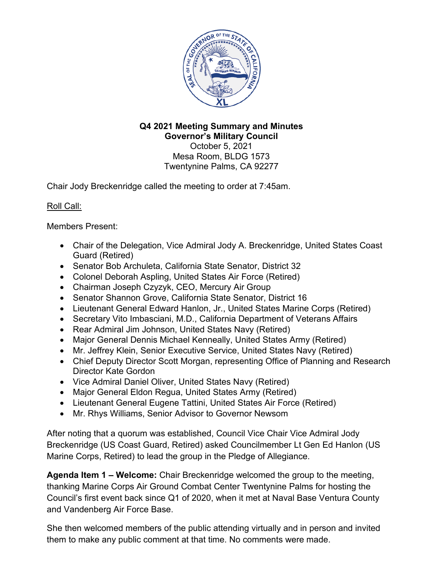

#### **Q4 2021 Meeting Summary and Minutes Governor's Military Council** October 5, 2021 Mesa Room, BLDG 1573 Twentynine Palms, CA 92277

Chair Jody Breckenridge called the meeting to order at 7:45am.

# Roll Call:

Members Present:

- Chair of the Delegation, Vice Admiral Jody A. Breckenridge, United States Coast Guard (Retired)
- Senator Bob Archuleta, California State Senator, District 32
- Colonel Deborah Aspling, United States Air Force (Retired)
- Chairman Joseph Czyzyk, CEO, Mercury Air Group
- Senator Shannon Grove, California State Senator, District 16
- Lieutenant General Edward Hanlon, Jr., United States Marine Corps (Retired)
- Secretary Vito Imbasciani, M.D., California Department of Veterans Affairs
- Rear Admiral Jim Johnson, United States Navy (Retired)
- Major General Dennis Michael Kenneally, United States Army (Retired)
- Mr. Jeffrey Klein, Senior Executive Service, United States Navy (Retired)
- Chief Deputy Director Scott Morgan, representing Office of Planning and Research Director Kate Gordon
- Vice Admiral Daniel Oliver, United States Navy (Retired)
- Major General Eldon Regua, United States Army (Retired)
- Lieutenant General Eugene Tattini, United States Air Force (Retired)
- Mr. Rhys Williams, Senior Advisor to Governor Newsom

After noting that a quorum was established, Council Vice Chair Vice Admiral Jody Breckenridge (US Coast Guard, Retired) asked Councilmember Lt Gen Ed Hanlon (US Marine Corps, Retired) to lead the group in the Pledge of Allegiance.

**Agenda Item 1 – Welcome:** Chair Breckenridge welcomed the group to the meeting, thanking Marine Corps Air Ground Combat Center Twentynine Palms for hosting the Council's first event back since Q1 of 2020, when it met at Naval Base Ventura County and Vandenberg Air Force Base.

She then welcomed members of the public attending virtually and in person and invited them to make any public comment at that time. No comments were made.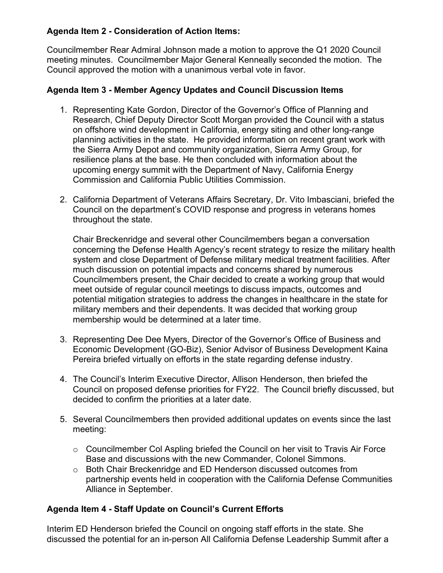# **Agenda Item 2 - Consideration of Action Items:**

Councilmember Rear Admiral Johnson made a motion to approve the Q1 2020 Council meeting minutes. Councilmember Major General Kenneally seconded the motion. The Council approved the motion with a unanimous verbal vote in favor.

#### **Agenda Item 3 - Member Agency Updates and Council Discussion Items**

- 1. Representing Kate Gordon, Director of the Governor's Office of Planning and Research, Chief Deputy Director Scott Morgan provided the Council with a status on offshore wind development in California, energy siting and other long-range planning activities in the state. He provided information on recent grant work with the Sierra Army Depot and community organization, Sierra Army Group, for resilience plans at the base. He then concluded with information about the upcoming energy summit with the Department of Navy, California Energy Commission and California Public Utilities Commission.
- 2. California Department of Veterans Affairs Secretary, Dr. Vito Imbasciani, briefed the Council on the department's COVID response and progress in veterans homes throughout the state.

Chair Breckenridge and several other Councilmembers began a conversation concerning the Defense Health Agency's recent strategy to resize the military health system and close Department of Defense military medical treatment facilities. After much discussion on potential impacts and concerns shared by numerous Councilmembers present, the Chair decided to create a working group that would meet outside of regular council meetings to discuss impacts, outcomes and potential mitigation strategies to address the changes in healthcare in the state for military members and their dependents. It was decided that working group membership would be determined at a later time.

- 3. Representing Dee Dee Myers, Director of the Governor's Office of Business and Economic Development (GO-Biz), Senior Advisor of Business Development Kaina Pereira briefed virtually on efforts in the state regarding defense industry.
- 4. The Council's Interim Executive Director, Allison Henderson, then briefed the Council on proposed defense priorities for FY22. The Council briefly discussed, but decided to confirm the priorities at a later date.
- 5. Several Councilmembers then provided additional updates on events since the last meeting:
	- o Councilmember Col Aspling briefed the Council on her visit to Travis Air Force Base and discussions with the new Commander, Colonel Simmons.
	- o Both Chair Breckenridge and ED Henderson discussed outcomes from partnership events held in cooperation with the California Defense Communities Alliance in September.

### **Agenda Item 4 - Staff Update on Council's Current Efforts**

Interim ED Henderson briefed the Council on ongoing staff efforts in the state. She discussed the potential for an in-person All California Defense Leadership Summit after a